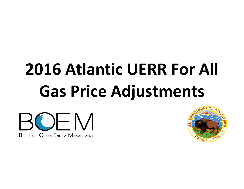# **2016 Atlantic UERR For All Gas Price Adjustments**